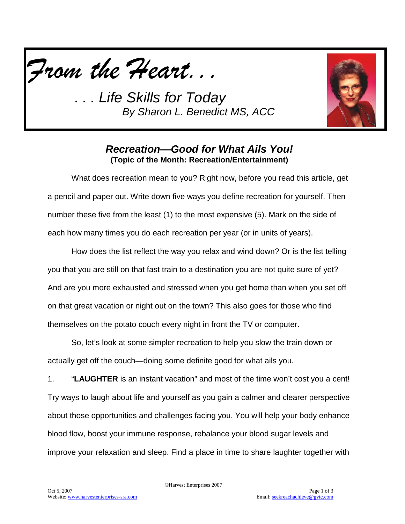



## *Recreation—Good for What Ails You!* **(Topic of the Month: Recreation/Entertainment)**

What does recreation mean to you? Right now, before you read this article, get a pencil and paper out. Write down five ways you define recreation for yourself. Then number these five from the least (1) to the most expensive (5). Mark on the side of each how many times you do each recreation per year (or in units of years).

How does the list reflect the way you relax and wind down? Or is the list telling you that you are still on that fast train to a destination you are not quite sure of yet? And are you more exhausted and stressed when you get home than when you set off on that great vacation or night out on the town? This also goes for those who find themselves on the potato couch every night in front the TV or computer.

So, let's look at some simpler recreation to help you slow the train down or actually get off the couch—doing some definite good for what ails you.

1. "**LAUGHTER** is an instant vacation" and most of the time won't cost you a cent! Try ways to laugh about life and yourself as you gain a calmer and clearer perspective about those opportunities and challenges facing you. You will help your body enhance blood flow, boost your immune response, rebalance your blood sugar levels and improve your relaxation and sleep. Find a place in time to share laughter together with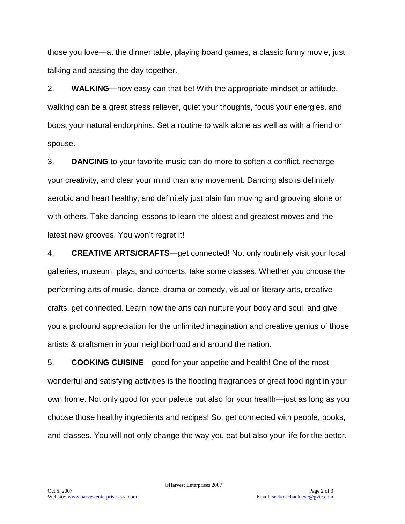those you love—at the dinner table, playing board games, a classic funny movie, just talking and passing the day together.

2. **WALKING—**how easy can that be! With the appropriate mindset or attitude, walking can be a great stress reliever, quiet your thoughts, focus your energies, and boost your natural endorphins. Set a routine to walk alone as well as with a friend or spouse.

3. **DANCING** to your favorite music can do more to soften a conflict, recharge your creativity, and clear your mind than any movement. Dancing also is definitely aerobic and heart healthy; and definitely just plain fun moving and grooving alone or with others. Take dancing lessons to learn the oldest and greatest moves and the latest new grooves. You won't regret it!

4. **CREATIVE ARTS/CRAFTS**—get connected! Not only routinely visit your local galleries, museum, plays, and concerts, take some classes. Whether you choose the performing arts of music, dance, drama or comedy, visual or literary arts, creative crafts, get connected. Learn how the arts can nurture your body and soul, and give you a profound appreciation for the unlimited imagination and creative genius of those artists & craftsmen in your neighborhood and around the nation.

5. **COOKING CUISINE**—good for your appetite and health! One of the most wonderful and satisfying activities is the flooding fragrances of great food right in your own home. Not only good for your palette but also for your health—just as long as you choose those healthy ingredients and recipes! So, get connected with people, books, and classes. You will not only change the way you eat but also your life for the better.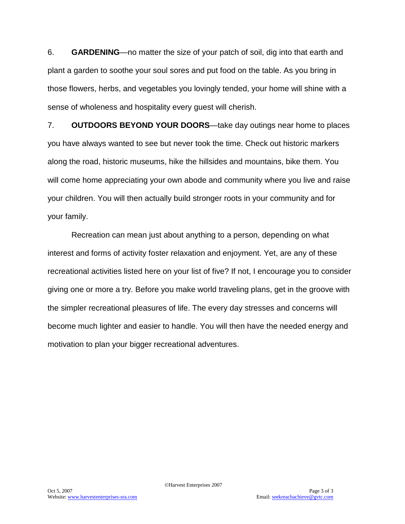6. **GARDENING**—no matter the size of your patch of soil, dig into that earth and plant a garden to soothe your soul sores and put food on the table. As you bring in those flowers, herbs, and vegetables you lovingly tended, your home will shine with a sense of wholeness and hospitality every guest will cherish.

7. **OUTDOORS BEYOND YOUR DOORS**—take day outings near home to places you have always wanted to see but never took the time. Check out historic markers along the road, historic museums, hike the hillsides and mountains, bike them. You will come home appreciating your own abode and community where you live and raise your children. You will then actually build stronger roots in your community and for your family.

Recreation can mean just about anything to a person, depending on what interest and forms of activity foster relaxation and enjoyment. Yet, are any of these recreational activities listed here on your list of five? If not, I encourage you to consider giving one or more a try. Before you make world traveling plans, get in the groove with the simpler recreational pleasures of life. The every day stresses and concerns will become much lighter and easier to handle. You will then have the needed energy and motivation to plan your bigger recreational adventures.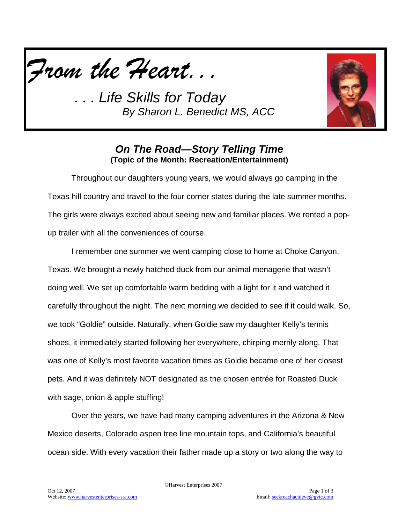



## *On The Road—Story Telling Time* **(Topic of the Month: Recreation/Entertainment)**

Throughout our daughters young years, we would always go camping in the Texas hill country and travel to the four corner states during the late summer months. The girls were always excited about seeing new and familiar places. We rented a popup trailer with all the conveniences of course.

I remember one summer we went camping close to home at Choke Canyon, Texas. We brought a newly hatched duck from our animal menagerie that wasn't doing well. We set up comfortable warm bedding with a light for it and watched it carefully throughout the night. The next morning we decided to see if it could walk. So, we took "Goldie" outside. Naturally, when Goldie saw my daughter Kelly's tennis shoes, it immediately started following her everywhere, chirping merrily along. That was one of Kelly's most favorite vacation times as Goldie became one of her closest pets. And it was definitely NOT designated as the chosen entrée for Roasted Duck with sage, onion & apple stuffing!

Over the years, we have had many camping adventures in the Arizona & New Mexico deserts, Colorado aspen tree line mountain tops, and California's beautiful ocean side. With every vacation their father made up a story or two along the way to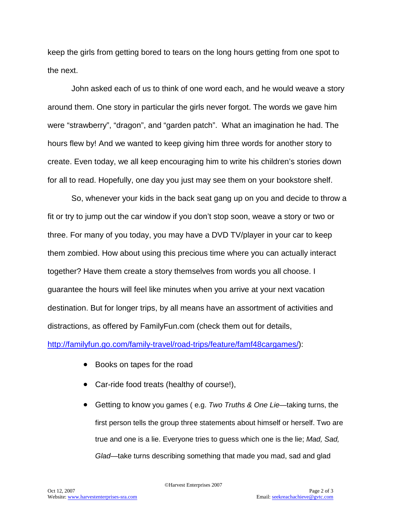keep the girls from getting bored to tears on the long hours getting from one spot to the next.

John asked each of us to think of one word each, and he would weave a story around them. One story in particular the girls never forgot. The words we gave him were "strawberry", "dragon", and "garden patch". What an imagination he had. The hours flew by! And we wanted to keep giving him three words for another story to create. Even today, we all keep encouraging him to write his children's stories down for all to read. Hopefully, one day you just may see them on your bookstore shelf.

So, whenever your kids in the back seat gang up on you and decide to throw a fit or try to jump out the car window if you don't stop soon, weave a story or two or three. For many of you today, you may have a DVD TV/player in your car to keep them zombied. How about using this precious time where you can actually interact together? Have them create a story themselves from words you all choose. I guarantee the hours will feel like minutes when you arrive at your next vacation destination. But for longer trips, by all means have an assortment of activities and distractions, as offered by FamilyFun.com (check them out for details,

[http://familyfun.go.com/family-travel/road-trips/feature/famf48cargames/\)](http://familyfun.go.com/family-travel/road-trips/feature/famf48cargames/):

- Books on tapes for the road
- Car-ride food treats (healthy of course!),
- Getting to know you games ( e.g. *Two Truths & One Lie*—taking turns, the first person tells the group three statements about himself or herself. Two are true and one is a lie. Everyone tries to guess which one is the lie; *Mad, Sad, Glad*—take turns describing something that made you mad, sad and glad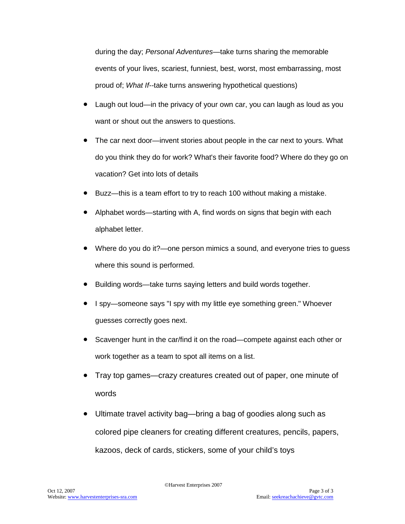during the day; *Personal Adventures*—take turns sharing the memorable events of your lives, scariest, funniest, best, worst, most embarrassing, most proud of; *What If--*take turns answering hypothetical questions)

- Laugh out loud—in the privacy of your own car, you can laugh as loud as you want or shout out the answers to questions.
- The car next door—invent stories about people in the car next to yours. What do you think they do for work? What's their favorite food? Where do they go on vacation? Get into lots of details
- Buzz—this is a team effort to try to reach 100 without making a mistake.
- Alphabet words—starting with A, find words on signs that begin with each alphabet letter.
- Where do you do it?—one person mimics a sound, and everyone tries to guess where this sound is performed.
- Building words—take turns saying letters and build words together.
- I spy—someone says "I spy with my little eye something green." Whoever guesses correctly goes next.
- Scavenger hunt in the car/find it on the road—compete against each other or work together as a team to spot all items on a list.
- Tray top games—crazy creatures created out of paper, one minute of words
- Ultimate travel activity bag—bring a bag of goodies along such as colored pipe cleaners for creating different creatures, pencils, papers, kazoos, deck of cards, stickers, some of your child's toys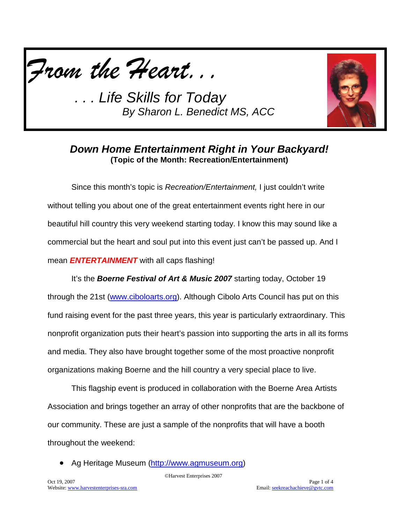



## *Down Home Entertainment Right in Your Backyard!* **(Topic of the Month: Recreation/Entertainment)**

Since this month's topic is *Recreation/Entertainment,* I just couldn't write without telling you about one of the great entertainment events right here in our beautiful hill country this very weekend starting today. I know this may sound like a commercial but the heart and soul put into this event just can't be passed up. And I mean *ENTERTAINMENT* with all caps flashing!

It's the *Boerne Festival of Art & Music 2007* starting today, October 19 through the 21st [\(www.ciboloarts.org\)](http://www.ciboloarts.org/). Although Cibolo Arts Council has put on this fund raising event for the past three years, this year is particularly extraordinary. This nonprofit organization puts their heart's passion into supporting the arts in all its forms and media. They also have brought together some of the most proactive nonprofit organizations making Boerne and the hill country a very special place to live.

This flagship event is produced in collaboration with the Boerne Area Artists Association and brings together an array of other nonprofits that are the backbone of our community. These are just a sample of the nonprofits that will have a booth throughout the weekend:

• Ag Heritage Museum [\(http://www.agmuseum.org\)](http://www.agmuseum.org/)

©Harvest Enterprises 2007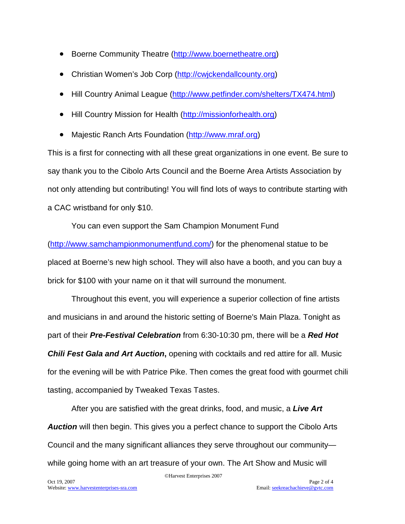- Boerne Community Theatre [\(http://www.boernetheatre.org\)](http://www.boernetheatre.org/)
- Christian Women's Job Corp [\(http://cwjckendallcounty.org\)](http://cwjckendallcounty.org/)
- Hill Country Animal League [\(http://www.petfinder.com/shelters/TX474.html\)](http://www.petfinder.com/shelters/TX474.html)
- Hill Country Mission for Health [\(http://missionforhealth.org\)](http://missionforhealth.org/)
- Majestic Ranch Arts Foundation [\(http://www.mraf.org\)](http://www.mraf.org/)

This is a first for connecting with all these great organizations in one event. Be sure to say thank you to the Cibolo Arts Council and the Boerne Area Artists Association by not only attending but contributing! You will find lots of ways to contribute starting with a CAC wristband for only \$10.

You can even support the Sam Champion Monument Fund [\(http://www.samchampionmonumentfund.com/\)](http://www.samchampionmonumentfund.com/) for the phenomenal statue to be placed at Boerne's new high school. They will also have a booth, and you can buy a brick for \$100 with your name on it that will surround the monument.

Throughout this event, you will experience a superior collection of fine artists and musicians in and around the historic setting of Boerne's Main Plaza. Tonight as part of their *Pre-Festival Celebration* from 6:30-10:30 pm, there will be a *Red Hot Chili Fest Gala and Art Auction***,** opening with cocktails and red attire for all. Music for the evening will be with Patrice Pike. Then comes the great food with gourmet chili tasting, accompanied by Tweaked Texas Tastes.

After you are satisfied with the great drinks, food, and music, a *Live Art Auction* will then begin. This gives you a perfect chance to support the Cibolo Arts Council and the many significant alliances they serve throughout our community while going home with an art treasure of your own. The Art Show and Music will

©Harvest Enterprises 2007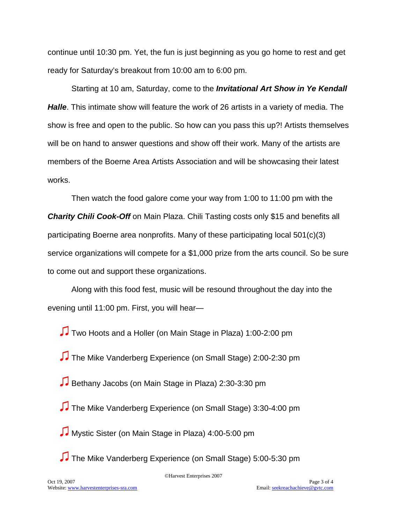continue until 10:30 pm. Yet, the fun is just beginning as you go home to rest and get ready for Saturday's breakout from 10:00 am to 6:00 pm.

Starting at 10 am, Saturday, come to the *Invitational Art Show in Ye Kendall Halle*. This intimate show will feature the work of 26 artists in a variety of media. The show is free and open to the public. So how can you pass this up?! Artists themselves will be on hand to answer questions and show off their work. Many of the artists are members of the Boerne Area Artists Association and will be showcasing their latest works.

Then watch the food galore come your way from 1:00 to 11:00 pm with the *Charity Chili Cook-Off* on Main Plaza. Chili Tasting costs only \$15 and benefits all participating Boerne area nonprofits. Many of these participating local 501(c)(3) service organizations will compete for a \$1,000 prize from the arts council. So be sure to come out and support these organizations.

Along with this food fest, music will be resound throughout the day into the evening until 11:00 pm. First, you will hear—

♫ Two Hoots and a Holler (on Main Stage in Plaza) 1:00-2:00 pm

♫ The Mike Vanderberg Experience (on Small Stage) 2:00-2:30 pm

♫ Bethany Jacobs (on Main Stage in Plaza) 2:30-3:30 pm

♫ The Mike Vanderberg Experience (on Small Stage) 3:30-4:00 pm

♫ Mystic Sister (on Main Stage in Plaza) 4:00-5:00 pm

♫ The Mike Vanderberg Experience (on Small Stage) 5:00-5:30 pm

©Harvest Enterprises 2007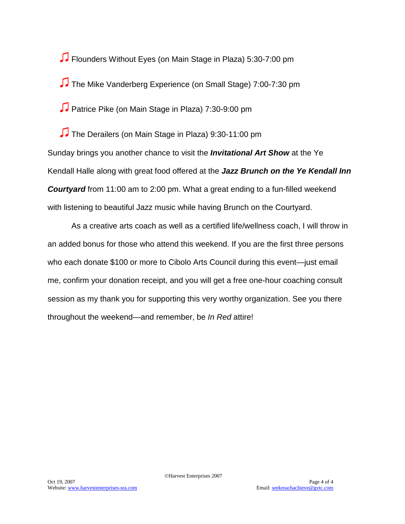♫ Flounders Without Eyes (on Main Stage in Plaza) 5:30-7:00 pm ♫ The Mike Vanderberg Experience (on Small Stage) 7:00-7:30 pm ♫ Patrice Pike (on Main Stage in Plaza) 7:30-9:00 pm

♫ The Derailers (on Main Stage in Plaza) 9:30-11:00 pm Sunday brings you another chance to visit the *Invitational Art Show* at the Ye Kendall Halle along with great food offered at the *Jazz Brunch on the Ye Kendall Inn Courtyard* from 11:00 am to 2:00 pm. What a great ending to a fun-filled weekend with listening to beautiful Jazz music while having Brunch on the Courtyard.

As a creative arts coach as well as a certified life/wellness coach, I will throw in an added bonus for those who attend this weekend. If you are the first three persons who each donate \$100 or more to Cibolo Arts Council during this event—just email me, confirm your donation receipt, and you will get a free one-hour coaching consult session as my thank you for supporting this very worthy organization. See you there throughout the weekend—and remember, be *In Red* attire!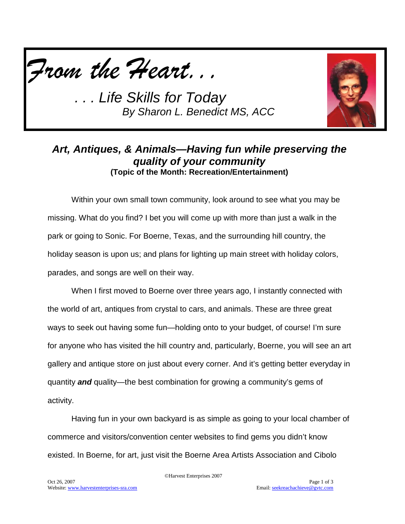



## *Art, Antiques, & Animals—Having fun while preserving the quality of your community* **(Topic of the Month: Recreation/Entertainment)**

Within your own small town community, look around to see what you may be missing. What do you find? I bet you will come up with more than just a walk in the park or going to Sonic. For Boerne, Texas, and the surrounding hill country, the holiday season is upon us; and plans for lighting up main street with holiday colors, parades, and songs are well on their way.

When I first moved to Boerne over three years ago, I instantly connected with the world of art, antiques from crystal to cars, and animals. These are three great ways to seek out having some fun—holding onto to your budget, of course! I'm sure for anyone who has visited the hill country and, particularly, Boerne, you will see an art gallery and antique store on just about every corner. And it's getting better everyday in quantity *and* quality—the best combination for growing a community's gems of activity.

Having fun in your own backyard is as simple as going to your local chamber of commerce and visitors/convention center websites to find gems you didn't know existed. In Boerne, for art, just visit the Boerne Area Artists Association and Cibolo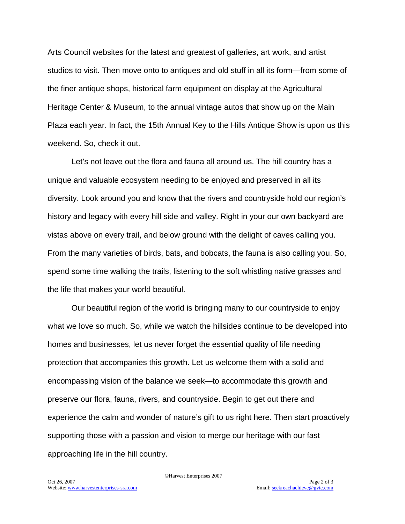Arts Council websites for the latest and greatest of galleries, art work, and artist studios to visit. Then move onto to antiques and old stuff in all its form—from some of the finer antique shops, historical farm equipment on display at the Agricultural Heritage Center & Museum, to the annual vintage autos that show up on the Main Plaza each year. In fact, the 15th Annual Key to the Hills Antique Show is upon us this weekend. So, check it out.

Let's not leave out the flora and fauna all around us. The hill country has a unique and valuable ecosystem needing to be enjoyed and preserved in all its diversity. Look around you and know that the rivers and countryside hold our region's history and legacy with every hill side and valley. Right in your our own backyard are vistas above on every trail, and below ground with the delight of caves calling you. From the many varieties of birds, bats, and bobcats, the fauna is also calling you. So, spend some time walking the trails, listening to the soft whistling native grasses and the life that makes your world beautiful.

Our beautiful region of the world is bringing many to our countryside to enjoy what we love so much. So, while we watch the hillsides continue to be developed into homes and businesses, let us never forget the essential quality of life needing protection that accompanies this growth. Let us welcome them with a solid and encompassing vision of the balance we seek—to accommodate this growth and preserve our flora, fauna, rivers, and countryside. Begin to get out there and experience the calm and wonder of nature's gift to us right here. Then start proactively supporting those with a passion and vision to merge our heritage with our fast approaching life in the hill country.